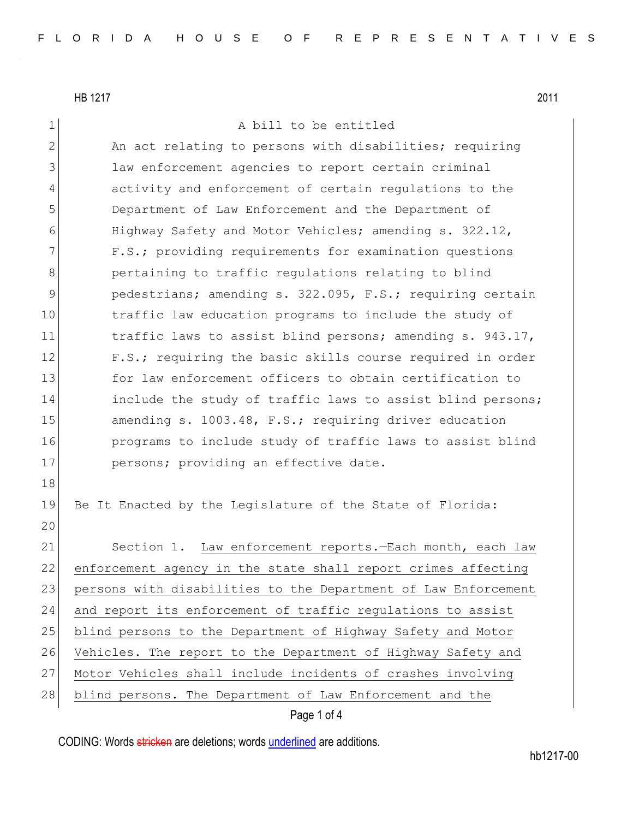1 a bill to be entitled

| $\mathbf{2}$ | An act relating to persons with disabilities; requiring        |
|--------------|----------------------------------------------------------------|
| 3            | law enforcement agencies to report certain criminal            |
| 4            | activity and enforcement of certain requlations to the         |
| 5            | Department of Law Enforcement and the Department of            |
| 6            | Highway Safety and Motor Vehicles; amending s. 322.12,         |
| 7            | F.S.; providing requirements for examination questions         |
| 8            | pertaining to traffic regulations relating to blind            |
| 9            | pedestrians; amending s. 322.095, F.S.; requiring certain      |
| 10           | traffic law education programs to include the study of         |
| 11           | traffic laws to assist blind persons; amending s. 943.17,      |
| 12           | F.S.; requiring the basic skills course required in order      |
| 13           | for law enforcement officers to obtain certification to        |
| 14           | include the study of traffic laws to assist blind persons;     |
| 15           | amending s. 1003.48, F.S.; requiring driver education          |
| 16           | programs to include study of traffic laws to assist blind      |
| 17           | persons; providing an effective date.                          |
| 18           |                                                                |
| 19           | Be It Enacted by the Legislature of the State of Florida:      |
| 20           |                                                                |
| 21           | Section 1. Law enforcement reports.-Each month, each law       |
| 22           | enforcement agency in the state shall report crimes affecting  |
| 23           | persons with disabilities to the Department of Law Enforcement |
| 24           | and report its enforcement of traffic regulations to assist    |
| 25           | blind persons to the Department of Highway Safety and Motor    |
| 26           | Vehicles. The report to the Department of Highway Safety and   |
| 27           | Motor Vehicles shall include incidents of crashes involving    |
| 28           | blind persons. The Department of Law Enforcement and the       |

Page 1 of 4

CODING: Words stricken are deletions; words underlined are additions.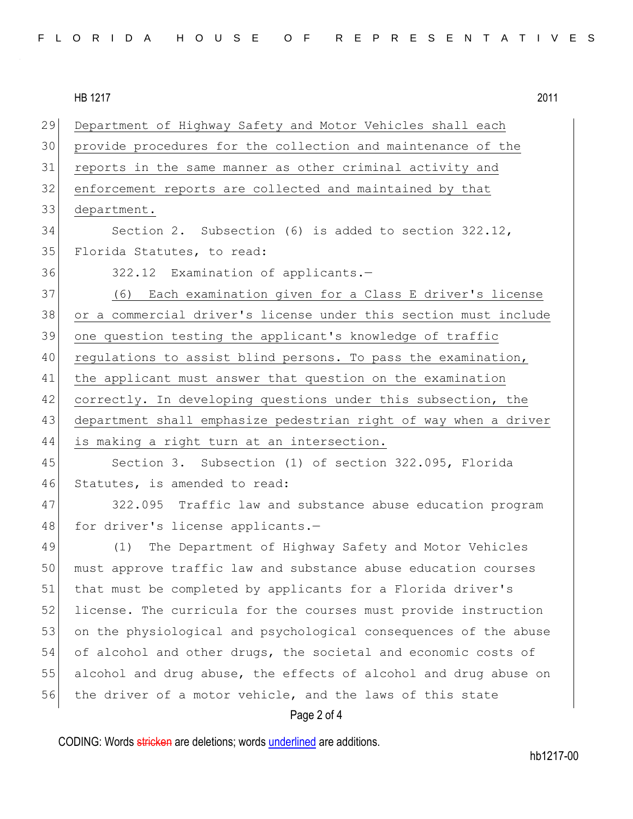| FLORIDA HOUSE OF REPRESENTATIVES |  |
|----------------------------------|--|
|----------------------------------|--|

29 Department of Highway Safety and Motor Vehicles shall each 30 provide procedures for the collection and maintenance of the 31 reports in the same manner as other criminal activity and 32 enforcement reports are collected and maintained by that 33 department. 34 Section 2. Subsection (6) is added to section 322.12, 35 Florida Statutes, to read: 36 322.12 Examination of applicants.-37 (6) Each examination given for a Class E driver's license 38 or a commercial driver's license under this section must include 39 one question testing the applicant's knowledge of traffic 40 regulations to assist blind persons. To pass the examination, 41 the applicant must answer that question on the examination 42 correctly. In developing questions under this subsection, the 43 department shall emphasize pedestrian right of way when a driver 44 is making a right turn at an intersection. 45 Section 3. Subsection (1) of section 322.095, Florida 46 Statutes, is amended to read: 47 322.095 Traffic law and substance abuse education program 48 for driver's license applicants.-49 (1) The Department of Highway Safety and Motor Vehicles 50 must approve traffic law and substance abuse education courses 51 that must be completed by applicants for a Florida driver's 52 license. The curricula for the courses must provide instruction 53 on the physiological and psychological consequences of the abuse 54 of alcohol and other drugs, the societal and economic costs of 55 alcohol and drug abuse, the effects of alcohol and drug abuse on 56 the driver of a motor vehicle, and the laws of this state

## Page 2 of 4

CODING: Words stricken are deletions; words underlined are additions.

hb1217-00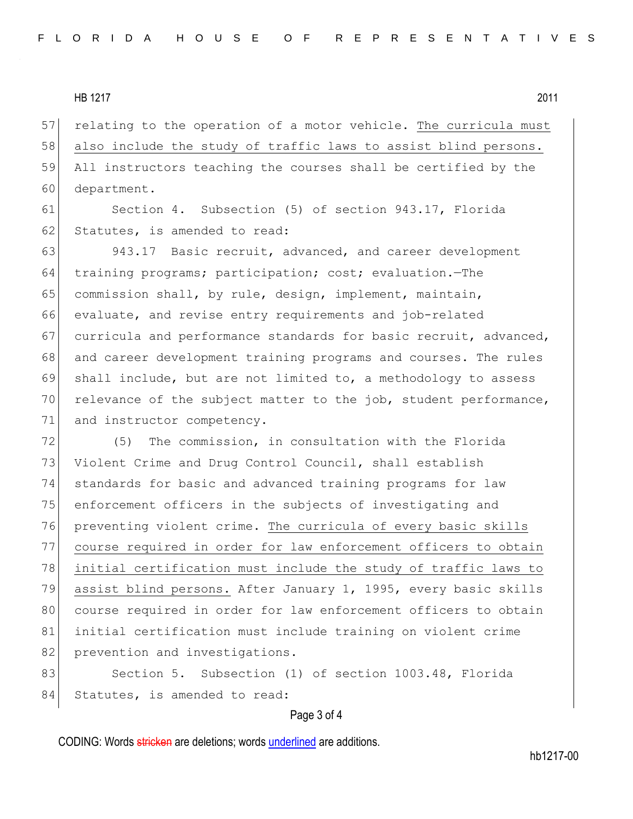57 relating to the operation of a motor vehicle. The curricula must 58 also include the study of traffic laws to assist blind persons. 59 All instructors teaching the courses shall be certified by the 60 department.

61 Section 4. Subsection (5) of section 943.17, Florida 62 Statutes, is amended to read:

63 943.17 Basic recruit, advanced, and career development 64 training programs; participation; cost; evaluation.—The 65 commission shall, by rule, design, implement, maintain, 66 evaluate, and revise entry requirements and job-related 67 curricula and performance standards for basic recruit, advanced, 68 and career development training programs and courses. The rules 69 shall include, but are not limited to, a methodology to assess 70 relevance of the subject matter to the job, student performance, 71 and instructor competency.

72 (5) The commission, in consultation with the Florida 73 Violent Crime and Drug Control Council, shall establish 74 standards for basic and advanced training programs for law 75 enforcement officers in the subjects of investigating and 76 preventing violent crime. The curricula of every basic skills 77 course required in order for law enforcement officers to obtain 78 initial certification must include the study of traffic laws to 79 assist blind persons. After January 1, 1995, every basic skills 80 course required in order for law enforcement officers to obtain 81 initial certification must include training on violent crime 82 prevention and investigations.

83 Section 5. Subsection (1) of section 1003.48, Florida 84 Statutes, is amended to read:

## Page 3 of 4

CODING: Words stricken are deletions; words underlined are additions.